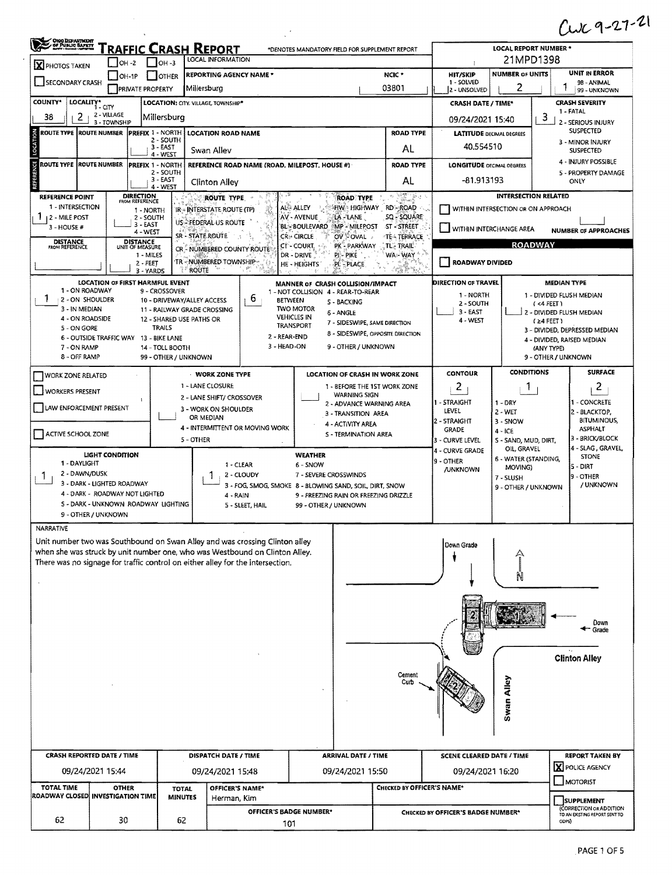## $Cux9-27-21$

| X PHOTOS TAKEN                                        |                                                                       | <b>FRAFFIC CRASH REPORT</b>                 | LOCAL INFORMATION                                                                                                                                          | *DENOTES MANDATORY FIELD FOR SUPPLEMENT REPORT                      |                            |                                    | <b>LOCAL REPORT NUMBER *</b><br>21MPD1398 |                                      |                                                                        |  |  |
|-------------------------------------------------------|-----------------------------------------------------------------------|---------------------------------------------|------------------------------------------------------------------------------------------------------------------------------------------------------------|---------------------------------------------------------------------|----------------------------|------------------------------------|-------------------------------------------|--------------------------------------|------------------------------------------------------------------------|--|--|
|                                                       | OH -2                                                                 | $\Box$ OH-3                                 |                                                                                                                                                            |                                                                     | NCIC <sup>+</sup>          | <b>HIT/SKIP</b>                    | <b>NUMBER OF UNITS</b>                    |                                      | <b>UNIT IN ERROR</b>                                                   |  |  |
| SECONDARY CRASH                                       | $OH-1P$<br><b>PRIVATE PROPERTY</b>                                    | <b>OTHER</b>                                | <b>REPORTING AGENCY NAME *</b><br>Millersburg                                                                                                              |                                                                     | 03801                      | 1 - SOLVED<br>2 - UNSOLVED         | 2                                         |                                      | 98 - ANIMAL<br>99 - UNKNOWN                                            |  |  |
| <b>COUNTY*</b><br>LOCALITY*<br>i - CITY               |                                                                       | LOCATION: CITY. VILLAGE, TOWNSHIP*          |                                                                                                                                                            |                                                                     |                            | <b>CRASH DATE / TIME*</b>          |                                           |                                      | <b>CRASH SEVERITY</b>                                                  |  |  |
| 2<br>38                                               | 2 - VILLAGE<br>3 - TOWNSHIP                                           | Millersburg                                 |                                                                                                                                                            |                                                                     |                            | 09/24/2021 15:40                   |                                           | 3                                    | 1 - FATAL<br>2 - SERIOUS INJURY                                        |  |  |
| ROUTE TYPE  ROUTE NUMBER                              | <b>PREFIX 1 - NORTH</b>                                               |                                             | LOCATION ROAD NAME                                                                                                                                         |                                                                     | <b>ROAD TYPE</b>           | <b>LATITUDE DECIMAL DEGREES</b>    |                                           |                                      | SUSPECTED                                                              |  |  |
|                                                       |                                                                       | 2 - SOUTH<br>$3 - EAST$<br>4 - WEST         | Swan Alley                                                                                                                                                 |                                                                     | AL                         | 40.554510                          |                                           | 3 - MINOR INJURY<br><b>SUSPECTED</b> |                                                                        |  |  |
| ROUTE TYPE  ROUTE NUMBER                              | <b>PREFIX 1 - NORTH</b>                                               |                                             | REFERENCE ROAD NAME (ROAD, MILEPOST, HOUSE #)                                                                                                              |                                                                     | <b>ROAD TYPE</b>           | <b>LONGITUDE DECIMAL DEGREES</b>   |                                           | 4 - INJURY POSSIBLE                  |                                                                        |  |  |
|                                                       |                                                                       | 2 - SOUTH<br>$3 - EAST$                     | <b>Clinton Alley</b>                                                                                                                                       |                                                                     | AL                         | -81.913193                         |                                           |                                      | 5 - PROPERTY DAMAGE<br>ONLY                                            |  |  |
| <b>REFERENCE POINT</b>                                | <b>DIRECTION</b><br>FROM REFERENCE                                    | 4 - WEST                                    | ROUTE TYPE                                                                                                                                                 | <b>ROAD TYPE</b>                                                    | <b>REA</b>                 |                                    |                                           | <b>INTERSECTION RELATED</b>          |                                                                        |  |  |
| 1 - INTERSECTION                                      | 1 - NORTH                                                             |                                             | IR - INTERSTATE ROUTE (TP)                                                                                                                                 | HW HIGHWAY RD ROAD<br>ALC ALLEY                                     |                            |                                    | WITHIN INTERSECTION OR ON APPROACH        |                                      |                                                                        |  |  |
| 12 - MILE POST<br>3 - HOUSE #                         | 2 - SOUTH<br>3 - EAST                                                 |                                             | US-REDERAL US ROUTE                                                                                                                                        | AV - AVENUE<br>LA - LANE<br><b>BL-BOULEVARD</b><br>MP-MILEPOST      | SQ - SQUARE<br>ST-STREET   | WITHIN INTERCHANGE AREA            |                                           |                                      |                                                                        |  |  |
| <b>DISTANCE</b>                                       | 4 - WEST<br><b>DISTANCE</b>                                           |                                             | SR - STATE ROUTE<br>-12                                                                                                                                    | <b>CR-CIRCLE</b><br>OV OVAL                                         | TEATERRACE                 |                                    |                                           |                                      | <b>NUMBER OF APPROACHES</b>                                            |  |  |
| FROM REFERENCE                                        | UNIT OF MEASURE<br>1 - MILES                                          |                                             | CR - NUMBERED COUNTY ROUTE                                                                                                                                 | PK - PARKWAY<br>CT-COURT,<br>DR - DRIVE<br>PI - PIKE                | . TL. TRAIL.<br>WA-WAY     |                                    |                                           | <b>ROADWAY</b>                       |                                                                        |  |  |
|                                                       | $2 - FEET$<br>3 - YARDS                                               | <b>ROUTE</b>                                | TR - NUMBERED TOWNSHIP-<br>₹.                                                                                                                              | HE - HEIGHTS<br>PL - PLACE                                          | diry.                      | <b>ROADWAY DIVIDED</b>             |                                           |                                      |                                                                        |  |  |
|                                                       | <b>LOCATION OF FIRST HARMFUL EVENT</b>                                |                                             |                                                                                                                                                            | MANNER OF CRASH COLLISION/IMPACT                                    |                            | DIRECTION OF TRAVEL                |                                           | <b>MEDIAN TYPE</b>                   |                                                                        |  |  |
| 1 - ON ROADWAY<br>Ŧ<br>2 - ON SHOULDER                |                                                                       | 9 - CROSSOVER<br>10 - DRIVEWAY/ALLEY ACCESS | 6                                                                                                                                                          | 1 - NOT COLLISION 4 - REAR-TO-REAR<br><b>BETWEEN</b><br>S - BACKING |                            | 1 - NORTH<br>2 - SOUTH             |                                           | 1 - DIVIDED FLUSH MEDIAN             |                                                                        |  |  |
| 3 - IN MEDIAN                                         |                                                                       | 11 - RAILWAY GRADE CROSSING                 |                                                                                                                                                            | <b>TWO MOTOR</b><br>6 - ANGLE<br><b>VEHICLES IN</b>                 |                            | $3 - EAST$                         |                                           | (4 FEET)<br>2 - DIVIDED FLUSH MEDIAN |                                                                        |  |  |
| 4 - ON ROADSIDE<br>5 - ON GORE                        |                                                                       | 12 - SHARED USE PATHS OR<br><b>TRAILS</b>   |                                                                                                                                                            | 7 - SIDESWIPE, SAME DIRECTION<br><b>TRANSPORT</b>                   |                            | 4 - WEST                           |                                           | (≥4 FEET)                            | 3 - DIVIDED, DEPRESSED MEDIAN                                          |  |  |
|                                                       | 6 - OUTSIDE TRAFFIC WAY 13 - BIKE LANE                                |                                             | 3 - HEAD-ON                                                                                                                                                | 8 - SIDESWIPE, OPPOSITE DIRECTION<br>2 - REAR-END                   |                            |                                    |                                           |                                      | 4 - DIVIDED, RAISED MEDIAN                                             |  |  |
| 7 - ON RAMP<br>8 - OFF RAMP                           |                                                                       | 14 - TOLL BOOTH<br>99 - OTHER / UNKNOWN     |                                                                                                                                                            | 9 - OTHER / UNKNOWN                                                 |                            |                                    |                                           | (ANY TYPE)<br>9 - OTHER / UNKNOWN    |                                                                        |  |  |
| <b>WORK ZONE RELATED</b>                              |                                                                       |                                             | <b>WORK ZONE TYPE</b>                                                                                                                                      | LOCATION OF CRASH IN WORK ZONE                                      |                            | <b>CONTOUR</b>                     | <b>CONDITIONS</b>                         |                                      | <b>SURFACE</b>                                                         |  |  |
| <b>WORKERS PRESENT</b>                                |                                                                       |                                             | 1 - LANE CLOSURE                                                                                                                                           | 1 - BEFORE THE 1ST WORK ZONE                                        |                            | 2                                  | Т.                                        |                                      | 2                                                                      |  |  |
|                                                       | 1                                                                     |                                             | 2 - LANE SHIFT/ CROSSOVER                                                                                                                                  | <b>WARNING SIGN</b><br>2 - ADVANCE WARNING AREA                     |                            | 1 - STRAIGHT                       | $1 - DRY$                                 |                                      | I - CONCRETE                                                           |  |  |
| LAW ENFORCEMENT PRESENT                               |                                                                       |                                             | 3 - WORK ON SHOULDER<br>OR MEDIAN                                                                                                                          | 3 - TRANSITION AREA                                                 |                            | LEVEL                              | 2-WET                                     |                                      | 2 - BLACKTOP,<br><b>BITUMINOUS,</b>                                    |  |  |
| ACTIVE SCHOOL ZONE                                    |                                                                       |                                             | 4 - INTERMITTENT OR MOVING WORK                                                                                                                            | 4 - ACTIVITY AREA<br>S - TERMINATION AREA                           |                            | 2 - STRAIGHT<br><b>GRADE</b>       | 3 - SNOW<br>$4 - ICE$                     |                                      | <b>ASPHALT</b>                                                         |  |  |
|                                                       |                                                                       | 5 - OTHER                                   |                                                                                                                                                            |                                                                     |                            | 3 - CURVE LEVEL<br>4 - CURVE GRADE | S - SAND, MUD, DIRT,<br>OIL, GRAVEL       |                                      | 3 - BRICK/BLOCK<br>4 - SLAG, GRAVEL,                                   |  |  |
| 1 - DAYLIGHT                                          | <b>LIGHT CONDITION</b>                                                |                                             | 1 - CLEAR                                                                                                                                                  | <b>WEATHER</b><br>6 - SNOW                                          |                            | 9 - OTHER                          | 6 - WATER (STANDING,<br>MOVING)           |                                      | <b>STONE</b>                                                           |  |  |
| 2 - DAWN/DUSK<br>Т.                                   |                                                                       |                                             | 2 - CLOUDY                                                                                                                                                 | 7 - SEVERE CROSSWINDS                                               |                            | <b>/UNKNOWN</b>                    |                                           | 5 - DIRT<br>9 - OTHER                |                                                                        |  |  |
| 3 - DARK - LIGHTED ROADWAY                            |                                                                       |                                             |                                                                                                                                                            | 3 - FOG, SMOG, SMOKE 8 - BLOWING SAND, SOIL, DIRT, SNOW             |                            |                                    | 7 - SLUSH                                 |                                      | / UNKNOWN<br>9 - OTHER / UNKNOWN                                       |  |  |
|                                                       |                                                                       |                                             |                                                                                                                                                            |                                                                     |                            |                                    |                                           |                                      |                                                                        |  |  |
|                                                       | 4 - DARK - ROADWAY NOT LIGHTED<br>S - DARK - UNKNOWN ROADWAY LIGHTING |                                             | 4 RAIN<br>5 - SLEET, HAIL                                                                                                                                  | 9 - FREEZING RAIN OR FREEZING DRIZZLE<br>99 - OTHER / UNKNOWN       |                            |                                    |                                           |                                      |                                                                        |  |  |
| 9 - OTHER / UNKNOWN                                   |                                                                       |                                             |                                                                                                                                                            |                                                                     |                            |                                    |                                           |                                      |                                                                        |  |  |
|                                                       |                                                                       |                                             |                                                                                                                                                            |                                                                     |                            |                                    |                                           |                                      |                                                                        |  |  |
|                                                       |                                                                       |                                             | Unit number two was Southbound on Swan Alley and was crossing Clinton alley<br>when she was struck by unit number one, who was Westbound on Clinton Alley. |                                                                     |                            | Down Grade                         |                                           |                                      |                                                                        |  |  |
|                                                       |                                                                       |                                             | There was no signage for traffic control on either alley for the intersection.                                                                             |                                                                     |                            |                                    |                                           |                                      |                                                                        |  |  |
|                                                       |                                                                       |                                             |                                                                                                                                                            |                                                                     |                            |                                    |                                           |                                      |                                                                        |  |  |
|                                                       |                                                                       |                                             |                                                                                                                                                            |                                                                     |                            |                                    |                                           |                                      |                                                                        |  |  |
|                                                       |                                                                       |                                             |                                                                                                                                                            |                                                                     |                            |                                    |                                           |                                      |                                                                        |  |  |
|                                                       |                                                                       |                                             |                                                                                                                                                            |                                                                     |                            |                                    |                                           |                                      | Down                                                                   |  |  |
|                                                       |                                                                       |                                             |                                                                                                                                                            |                                                                     |                            |                                    |                                           |                                      | Grade                                                                  |  |  |
|                                                       |                                                                       |                                             |                                                                                                                                                            |                                                                     |                            |                                    |                                           |                                      |                                                                        |  |  |
|                                                       |                                                                       |                                             |                                                                                                                                                            |                                                                     |                            |                                    |                                           |                                      | <b>Clinton Alley</b>                                                   |  |  |
|                                                       |                                                                       |                                             |                                                                                                                                                            |                                                                     | Cement<br>Curb             |                                    |                                           |                                      |                                                                        |  |  |
|                                                       |                                                                       |                                             |                                                                                                                                                            |                                                                     |                            |                                    |                                           |                                      |                                                                        |  |  |
|                                                       |                                                                       |                                             |                                                                                                                                                            |                                                                     |                            |                                    |                                           |                                      |                                                                        |  |  |
|                                                       |                                                                       |                                             |                                                                                                                                                            |                                                                     |                            |                                    | Swan Alley                                |                                      |                                                                        |  |  |
|                                                       |                                                                       |                                             |                                                                                                                                                            |                                                                     |                            |                                    |                                           |                                      |                                                                        |  |  |
| <b>CRASH REPORTED DATE / TIME</b>                     |                                                                       |                                             | DISPATCH DATE / TIME                                                                                                                                       | <b>ARRIVAL DATE / TIME</b>                                          |                            | <b>SCENE CLEARED DATE / TIME</b>   |                                           |                                      |                                                                        |  |  |
| 09/24/2021 15:44                                      |                                                                       |                                             | 09/24/2021 15:48                                                                                                                                           | 09/24/2021 15:50                                                    |                            | 09/24/2021 16:20                   |                                           |                                      | X POLICE AGENCY                                                        |  |  |
| <b>TOTAL TIME</b>                                     | <b>OTHER</b>                                                          | <b>TOTAL</b>                                | OFFICER'S NAME*                                                                                                                                            |                                                                     | CHECKED BY OFFICER'S NAME* |                                    |                                           |                                      | MOTORIST                                                               |  |  |
| <b>NARRATIVE</b><br>ROADWAY CLOSED INVESTIGATION TIME |                                                                       | <b>MINUTES</b>                              | Herman, Kim                                                                                                                                                |                                                                     |                            |                                    |                                           |                                      | <b>REPORT TAKEN BY</b><br><b>SUPPLEMENT</b><br>(CORRECTION OR ADDITION |  |  |

 $\label{eq:2} \frac{1}{2} \int_{\mathbb{R}^3} \frac{1}{\sqrt{2}} \, \frac{1}{\sqrt{2}} \, \frac{1}{\sqrt{2}} \, \frac{1}{\sqrt{2}} \, \frac{1}{\sqrt{2}} \, \frac{1}{\sqrt{2}} \, \frac{1}{\sqrt{2}} \, \frac{1}{\sqrt{2}} \, \frac{1}{\sqrt{2}} \, \frac{1}{\sqrt{2}} \, \frac{1}{\sqrt{2}} \, \frac{1}{\sqrt{2}} \, \frac{1}{\sqrt{2}} \, \frac{1}{\sqrt{2}} \, \frac{1}{\sqrt{2}} \, \frac{1}{\sqrt{2}} \, \frac$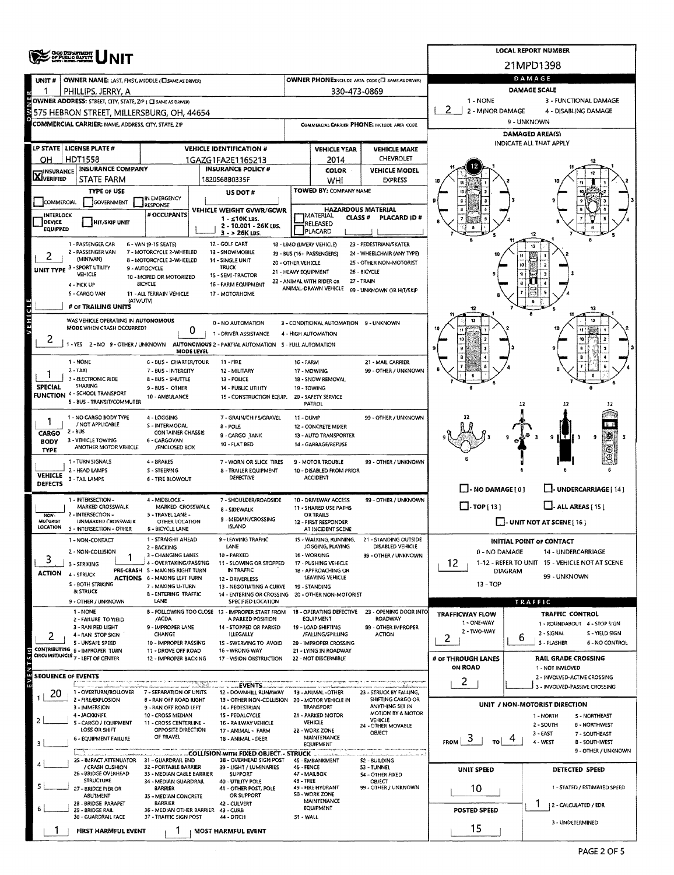|                           |                                                                                          |                                                          |  | <b>LOCAL REPORT NUMBER</b>                                                     |                                            |                                                                |                                                   |                                                         |                |                                                                      |  |  |  |  |
|---------------------------|------------------------------------------------------------------------------------------|----------------------------------------------------------|--|--------------------------------------------------------------------------------|--------------------------------------------|----------------------------------------------------------------|---------------------------------------------------|---------------------------------------------------------|----------------|----------------------------------------------------------------------|--|--|--|--|
|                           | <b>CHOO DEPARTMENT</b><br>OF PUBLIC BAPATY                                               |                                                          |  |                                                                                |                                            |                                                                |                                                   |                                                         |                | 21MPD1398                                                            |  |  |  |  |
| UNIT #                    | <b>OWNER NAME: LAST, FIRST, MIDDLE (C) SAME AS DRIVER)</b>                               |                                                          |  |                                                                                |                                            |                                                                | OWNER PHONE:INCLUDE AREA CODE (E) SAME AS DRIVER) |                                                         |                | DAMAGE                                                               |  |  |  |  |
|                           | PHILLIPS, JERRY, A                                                                       |                                                          |  |                                                                                |                                            | 330-473-0869                                                   |                                                   |                                                         |                | DAMAGE SCALE                                                         |  |  |  |  |
|                           | OWNER ADDRESS: STREET, CITY, STATE, ZIP ( C) SAME AS DRIVER)                             |                                                          |  |                                                                                |                                            |                                                                |                                                   | 1 - NONE<br>3 - FUNCTIONAL DAMAGE                       |                |                                                                      |  |  |  |  |
|                           | 575 HEBRON STREET, MILLERSBURG, OH, 44654                                                |                                                          |  |                                                                                |                                            |                                                                |                                                   | 2 - MINOR DAMAGE<br>4 - DISABLING DAMAGE<br>9 - UNKNOWN |                |                                                                      |  |  |  |  |
|                           | <b>COMMERCIAL CARRIER: NAME, ADDRESS, CITY, STATE, ZIP</b>                               |                                                          |  |                                                                                |                                            |                                                                | COMMERCIAL CARRIER PHONE: INCLUDE AREA CODE       | DAMAGED AREA(S)                                         |                |                                                                      |  |  |  |  |
|                           | LP STATE LICENSE PLATE #                                                                 |                                                          |  | <b>VEHICLE IDENTIFICATION #</b>                                                |                                            | <b>VEHICLE YEAR</b>                                            | <b>VEHICLE MAKE</b>                               | INDICATE ALL THAT APPLY                                 |                |                                                                      |  |  |  |  |
| OН                        | <b>HDT1558</b>                                                                           |                                                          |  | 1GAZG1FA2E1165213                                                              |                                            | 2014                                                           | CHEVROLET                                         |                                                         |                |                                                                      |  |  |  |  |
|                           | <b>INSURANCE COMPANY</b><br><b>INSURANCE POLICY #</b><br><b>X</b> INSURANCE              |                                                          |  |                                                                                |                                            | <b>COLOR</b>                                                   | <b>VEHICLE MODEL</b>                              |                                                         |                |                                                                      |  |  |  |  |
|                           | STATE FARM                                                                               |                                                          |  | 1820568B0335F                                                                  |                                            | WHI<br>TOWED BY: COMPANY NAME                                  | <b>EXPRESS</b>                                    |                                                         |                |                                                                      |  |  |  |  |
| COMMERCIAL                | <b>TYPE OF USE</b><br><b>GOVERNMENT</b>                                                  | IN EMERGENCY                                             |  | US DOT #                                                                       |                                            |                                                                |                                                   |                                                         |                |                                                                      |  |  |  |  |
| INTERLOCK                 |                                                                                          | <b>RESPONSE</b><br># OCCUPANTS                           |  | VEHICLE WEIGHT GVWR/GCWR                                                       |                                            | <b>HAZARDOUS MATERIAL</b><br><b>MATERIAL</b><br><b>CLASS #</b> | PLACARD ID#                                       |                                                         |                |                                                                      |  |  |  |  |
| DEVICE<br><b>EQUIPPED</b> | HIT/SKIP UNIT                                                                            |                                                          |  | 1 - ≤10K LBS.<br>2 - 10.001 - 26K LBS.                                         |                                            | <b>RELEASED</b><br>PLACARD                                     |                                                   |                                                         |                |                                                                      |  |  |  |  |
|                           | 1 - PASSENGER CAR                                                                        | 6 - VAN (9-15 SEATS)                                     |  | $3 - 26K$ LBS.<br>12 - GOLF CART                                               |                                            | 18 - LIMO (LIVERY VEHICLE)                                     | 23 - PEDESTRIAN/SKATER                            |                                                         |                |                                                                      |  |  |  |  |
|                           | 2 - PASSENGER VAN                                                                        | 7 - MOTORCYCLE 2-WHEELED                                 |  | 13 - SNOWMOBILE                                                                |                                            | 19 - BUS (16+ PASSENGERS)                                      | 24 - WHEELCHAIR (ANY TYPE)                        |                                                         |                |                                                                      |  |  |  |  |
|                           | (MINIVAN)<br>UNIT TYPE 3 - SPORT UTILITY                                                 | 8 - MOTORCYCLE 3-WHEELED<br>9 - AUTOCYCLE                |  | 14 - SINGLE UNIT<br><b>TRUCK</b>                                               | 20 - OTHER VEHICLE<br>21 - HEAVY EQUIPMENT |                                                                | 25 - OTHER NON-MOTORIST<br>26 - BICYCLE           |                                                         |                |                                                                      |  |  |  |  |
|                           | VEHICLE<br>4 - PICK UP                                                                   | 10 - MOPED OR MOTORIZED<br><b>BICYCLE</b>                |  | 15 - SEMI-TRACTOR<br>16 - FARM EQUIPMENT                                       |                                            | 22 - ANIMAL WITH RIDER OR                                      | 27 - TRAIN                                        |                                                         |                |                                                                      |  |  |  |  |
|                           | 5 - CARGO VAN                                                                            | 11 - ALL TERRAIN VEHICLE                                 |  | 17 - MOTORHOME                                                                 |                                            | ANIMAL-DRAWN VEHICLE                                           | 99 - UNKNOWN OR HIT/SKIP                          |                                                         |                |                                                                      |  |  |  |  |
|                           | (ATV/UTV)<br># OF TRAILING UNITS                                                         |                                                          |  |                                                                                |                                            |                                                                |                                                   |                                                         |                | 12                                                                   |  |  |  |  |
| VEHICL                    | WAS VEHICLE OPERATING IN AUTONOMOUS                                                      |                                                          |  | 0 - NO AUTOMATION                                                              |                                            | 3 - CONDITIONAL AUTOMATION 9 - UNKNOWN                         |                                                   |                                                         |                | 12                                                                   |  |  |  |  |
|                           | MODE WHEN CRASH OCCURRED?                                                                | 0                                                        |  | 1 - DRIVER ASSISTANCE                                                          |                                            | 4 - HIGH AUTOMATION                                            |                                                   |                                                         |                |                                                                      |  |  |  |  |
| 2                         | 1 - YES 2 - NO 9 - OTHER / UNKNOWN AUTONOMOUS 2 - PARTIAL AUTOMATION 5 - FULL AUTOMATION | <b>MODE LEVEL</b>                                        |  |                                                                                |                                            |                                                                |                                                   |                                                         |                |                                                                      |  |  |  |  |
|                           | 1 - NONE                                                                                 | 6 - BUS - CHARTER/TOUR                                   |  | $11 - FIRE$                                                                    | 16 - FARM                                  |                                                                | 21 - MAIL CARRIER                                 |                                                         |                |                                                                      |  |  |  |  |
|                           | $2 - TAXI$                                                                               | 7 - BUS - INTERGITY                                      |  | 12 - MILITARY                                                                  |                                            | 17 - MOWING                                                    | 99 - OTHER / UNKNOWN                              |                                                         |                |                                                                      |  |  |  |  |
| <b>SPECIAL</b>            | 3 - ELECTRONIC RIDE<br>SHARING                                                           | 8 - BUS - SHUTTLE<br>9 - BUS - OTHER                     |  | 13 - POLICE<br>14 - PUBLIC UTILITY                                             |                                            | 18 - SNOW REMOVAL<br>19 - TOWING                               |                                                   |                                                         |                |                                                                      |  |  |  |  |
|                           | <b>FUNCTION 4 - SCHOOL TRANSPORT</b><br>S - BUS - TRANSIT/COMMUTER                       | 10 - AMBULANCE                                           |  | 15 - CONSTRUCTION EQUIP.                                                       | 20 - SAFETY SERVICE                        |                                                                |                                                   |                                                         |                |                                                                      |  |  |  |  |
|                           |                                                                                          |                                                          |  |                                                                                |                                            | <b>PATROL</b>                                                  |                                                   |                                                         | 12             |                                                                      |  |  |  |  |
|                           | 1 - NO CARGO BODY TYPE<br>/ NOT APPLICABLE                                               | 4 - LOGGING<br>S - INTERMODAL                            |  | 7 - GRAIN/CHIPS/GRAVEL<br><b>B-POLE</b>                                        | 11 - DUMP                                  | 12 - CONCRETE MIXER                                            | 99 - OTHER / UNKNOWN                              |                                                         |                |                                                                      |  |  |  |  |
| CARGO<br><b>BODY</b>      | $2 - 8US$<br>3 - VEHICLE TOWING                                                          | CONTAINER CHASSIS<br>6 - CARGOVAN                        |  | 9 - CARGO TANK                                                                 |                                            | 13 - AUTO TRANSPORTER                                          |                                                   |                                                         |                | וידו<br>9                                                            |  |  |  |  |
| <b>TYPE</b>               | ANOTHER MOTOR VEHICLE                                                                    | /ENCLOSED BOX                                            |  | 10 - FLAT BED                                                                  |                                            | 14 - GARBAGE/REFUSE                                            |                                                   |                                                         |                | C                                                                    |  |  |  |  |
|                           | 1 - TURN SIGNALS<br>2 - HEAD LAMPS                                                       | 4 - BRAKES<br>5 - STEERING                               |  | 7 - WORN OR SLICK TIRES                                                        |                                            | 9 - MOTOR TROUBLE<br>10 - DISABLED FROM PRIOR                  | 99 - OTHER / UNKNOWN                              |                                                         |                |                                                                      |  |  |  |  |
| <b>VEHICLE</b><br>DEFECTS | 3 - TAIL LAMPS                                                                           | 6 - TIRE BLOWOUT                                         |  | 8 - TRAILER EQUIPMENT<br>DEFECTIVE                                             |                                            | <b>ACCIDENT</b>                                                |                                                   |                                                         |                |                                                                      |  |  |  |  |
|                           |                                                                                          |                                                          |  |                                                                                |                                            |                                                                |                                                   | $\Box$ - NO DAMAGE [ 0 ]                                |                | J- UNDERCARRIAGE [ 14 ]                                              |  |  |  |  |
|                           | 1 - INTERSECTION -<br>MARKED CROSSWALK                                                   | 4 - MIDBLOCK -<br>MARKED CROSSWALK                       |  | 7 - SHOULDER/ROADSIDE<br>8 - SIDEWALK                                          |                                            | 10 - DRIVEWAY ACCESS<br>11 - SHARED USE PATHS                  | 99 - OTHER / UNKNOWN                              | $\Box$ TOP [13]<br>$\Box$ - ALL AREAS [ 15 ]            |                |                                                                      |  |  |  |  |
| NON-<br>MOTORIST          | 2 - INTERSECTION -<br><b>UNMARKED CROSSWALK</b>                                          | 5 - TRAVEL LANE -<br>OTHER LOCATION                      |  | 9 - MEDIAN/CROSSING                                                            |                                            | <b>OR TRAILS</b><br>12 - FIRST RESPONDER                       |                                                   |                                                         |                | <b>J-UNIT NOT AT SCENE</b> [ 16 ]                                    |  |  |  |  |
| <b>LOCATION</b>           | 3 - INTERSECTION - OTHER                                                                 | <b>6 - BICYCLE LANE</b>                                  |  | <b>ISLAND</b>                                                                  |                                            | AT INCIDENT SCENE                                              |                                                   |                                                         |                |                                                                      |  |  |  |  |
|                           | 1 - NON-CONTACT                                                                          | 1 - STRAIGHT AHEAD<br>2 - BACKING                        |  | - LEAVING TRAFFIC<br>LANE                                                      |                                            | 15 - WALKING, RUNNING,<br>JOGGING, PLAYING                     | <b>21 - STANDING OUTSIDE</b><br>DISABLED VEHICLE  |                                                         |                | <b>INITIAL POINT OF CONTACT</b>                                      |  |  |  |  |
| 3                         | 2 - NON-COLLISION<br>3 - STRIKING                                                        | 3 - CHANGING LANES<br>4 - OVERTAKING/PASSING             |  | 10 - PARKED<br>11 - SLOWING OR STOPPED                                         |                                            | 16 - WORKING<br>17 - PUSHING VEHICLE                           | 99 - OTHER / UNKNOWN                              | 0 - NO DAMAGE<br>12                                     |                | 14 - UNDERCARRIAGE<br>1-12 - REFER TO UNIT 15 - VEHICLE NOT AT SCENE |  |  |  |  |
| ACTION                    | 4 - STRUCK                                                                               | PRE-CRASH S - MAKING RIGHT TURN                          |  | IN TRAFFIC                                                                     |                                            | 18 - APPROACHING OR                                            |                                                   |                                                         | <b>DIAGRAM</b> | 99 - UNKNOWN                                                         |  |  |  |  |
|                           | <b>S - BOTH STRIKING</b>                                                                 | <b>ACTIONS 6 - MAKING LEFT TURN</b><br>7 - MAKING U-TURN |  | 12 - DRIVERLESS<br>13 - NEGOTIATING A CURVE                                    |                                            | LEAVING VEHICLE<br>19 - STANDING                               |                                                   | $13 - TOP$                                              |                |                                                                      |  |  |  |  |
|                           | & STRUCK<br>9 - OTHER / UNKNOWN                                                          | <b>B-ENTERING TRAFFIC</b><br>LANE                        |  | 14 - ENTERING OR CROSSING 20 - OTHER NON-MOTORIST<br><b>SPECIFIED LOCATION</b> |                                            |                                                                |                                                   |                                                         |                | TRAFFIC                                                              |  |  |  |  |
|                           | 1 - NONE                                                                                 |                                                          |  | B - FOLLOWING TOO CLOSE 13 - IMPROPER START FROM                               |                                            | <b>18 - OPERATING DEFECTIVE</b>                                | 23 - OPENING DOOR INTO                            | TRAFFICWAY FLOW                                         |                | <b>TRAFFIC CONTROL</b>                                               |  |  |  |  |
|                           | 2 - FAILURE TO YIELD<br>3 - RAN RED LIGHT                                                | /ACDA<br>9 - IMPROPER LANE                               |  | A PARKED POSITION<br>14 - STOPPED OR PARKED                                    |                                            | <b>EQUIPMENT</b><br>19 - LOAD SHIFTING                         | <b>ROADWAY</b><br>99 - OTHER IMPROPER             | 1 - ONE-WAY                                             |                | 1 - ROUNDABOUT 4 - STOP SIGN                                         |  |  |  |  |
|                           | 4 - RAN STOP SIGN<br>5 - UNSAFE SPEED                                                    | CHANGE<br>10 - IMPROPER PASSING                          |  | <b>ILLEGALLY</b>                                                               |                                            | /FALLING/SPILLING                                              | <b>ACTION</b>                                     | 2 - TWO-WAY<br>2                                        | ь              | 2 - SIGNAL<br>S - YIELD SIGN<br>3 - FLASHER<br>6 - NO CONTROL        |  |  |  |  |
|                           | CONTRIBUTING 6 - IMPROPER TURN                                                           | 11 - DROVE OFF ROAD                                      |  | 15 - SWERVING TO AVOID<br>16 - WRONG WAY                                       |                                            | 20 - IMPROPER CROSSING<br>21 - LYING IN ROADWAY                |                                                   |                                                         |                |                                                                      |  |  |  |  |
|                           | CIRCUMSTANCES 7 - LEFT OF CENTER                                                         | 12 - IMPROPER BACKING                                    |  | 17 - VISION OBSTRUCTION                                                        |                                            | 22 - NOT DISCERNIBLE                                           |                                                   | # OF THROUGH LANES<br><b>ON ROAD</b>                    |                | <b>RAIL GRADE CROSSING</b><br>1 - NOT INVLOVED                       |  |  |  |  |
| <b>SEQUENCE OF EVENTS</b> |                                                                                          |                                                          |  |                                                                                |                                            |                                                                | unger or group map                                | 2                                                       |                | 2 - INVOLVED-ACTIVE CROSSING                                         |  |  |  |  |
| 20                        | 1 - OVERTURN/ROLLOVER                                                                    | 7 - SEPARATION OF UNITS                                  |  | EVENTS <b>And Allen</b><br>12 - DOWNHILL RUNAWAY                               |                                            | 19 - ANIMAL - OTHER                                            | 23 - STRUCK BY FALLING,                           |                                                         |                | 3 - INVOLVED-PASSIVE CROSSING                                        |  |  |  |  |
|                           | 2 FIRE/EXPLOSION<br>3 - IMMERSION                                                        | 8 - RAN OFF ROAD RIGHT<br>9 - RAN OFF ROAD LEFT          |  | 13 - OTHER NON-COLLISION 20 - MOTOR VEHICLE IN<br>14 - PEDESTRIAN              |                                            | <b>TRANSPORT</b>                                               | SHIFTING CARGO OR<br>ANYTHING SET IN              |                                                         |                | UNIT / NON-MOTORIST DIRECTION                                        |  |  |  |  |
|                           | 4 - JACKKNIFE                                                                            | 10 - CROSS MEDIAN                                        |  | 15 - PEDALCYCLE                                                                |                                            | 21 - PARKED MOTOR                                              | MOTION BY A MOTOR<br>VEHICLE                      |                                                         |                | 1 - NORTH<br>S-NORTHEAST                                             |  |  |  |  |
|                           | 5 - CARGO / EQUIPMENT<br>LOSS OR SHIFT                                                   | 11 - CROSS CENTERLINE -<br>OPPOSITE DIRECTION            |  | 16 - RAILWAY VEHICLE<br>17 - ANIMAL - FARM                                     |                                            | VEHICLE<br>22 - WORK ZONE                                      | 24 - OTHER MOVABLE<br>OBJECT                      |                                                         |                | 2 - SOUTH<br>6 - NORTHWEST<br>$3 - EAST$<br>7 - SOUTHEAST            |  |  |  |  |
| 3                         | 6 - EQUIPMENT FAILURE                                                                    | OF TRAVEL                                                |  | 18 - ANIMAL - DEER                                                             |                                            | MAINTENANCE<br><b>EQUIPMENT</b>                                |                                                   | $F_{ROM}$ $\approx$<br>TO I                             |                | 4 - WEST<br><b>B-SOUTHWEST</b>                                       |  |  |  |  |
|                           | 25 - IMPACT ATTENUATOR                                                                   | 31 - GUARDRAIL END                                       |  | 38 - OVERHEAD SIGN POST                                                        |                                            | 45 - EMBANKMENT                                                | 52 - BUILDING                                     |                                                         |                | 9 - OTHER / UNKNOWN                                                  |  |  |  |  |
|                           | / CRASH CUSHION<br>26 - BRIDGE OVERHEAD                                                  | 32 - PORTABLE BARRIER<br>33 - MEDIAN CABLE BARRIER       |  | 39 - LIGHT / LUMINARIES<br><b>SUPPORT</b>                                      | <b>46 - FENCE</b>                          | 47 - MAILBOX                                                   | <b>53 - TUNNEL</b><br><b>S4 - OTHER FIXED</b>     | UNIT SPEED                                              |                | DETECTED SPEED                                                       |  |  |  |  |
|                           | <b>STRUCTURE</b>                                                                         | 34 - MEDIAN GUARDRAIL                                    |  | 40 - UTILITY POLE                                                              | 48 - TREE                                  | 49 - FIRE HYDRANT                                              | OBJECT<br>99 - OTHER / UNKNOWN                    |                                                         |                | 1 - STATED / ESTIMATED SPEED                                         |  |  |  |  |
|                           | 27 - BRIDGE PIER OR<br>ABUTMENT                                                          | <b>BARRIER</b><br>35 - MEDIAN CONCRETE                   |  | 41 - OTHER POST, POLE<br>OR SUPPORT                                            |                                            | S0 - WORK ZONE                                                 |                                                   | 10                                                      |                |                                                                      |  |  |  |  |
|                           | 28 - BRIDGE PARAPET<br>29 - BRIDGE RAIL                                                  | <b>BARRIER</b><br>36 - MEDIAN OTHER BARRIER 43 - CURB    |  | 42 - CULVERT                                                                   |                                            | MAINTENANCE<br>EQUIPMENT                                       |                                                   | POSTED SPEED                                            |                | 2 - CALCULATED / EDR                                                 |  |  |  |  |
|                           | 30 - GUARDRAIL FACE                                                                      | 37 - TRAFFIC SIGN POST                                   |  | 44 - DITCH                                                                     | 51 - WALL                                  |                                                                |                                                   |                                                         |                | 3 - UNDETERMINED                                                     |  |  |  |  |
|                           | <b>FIRST HARMFUL EVENT</b>                                                               |                                                          |  | <b>MOST HARMFUL EVENT</b>                                                      |                                            |                                                                |                                                   | 15                                                      |                |                                                                      |  |  |  |  |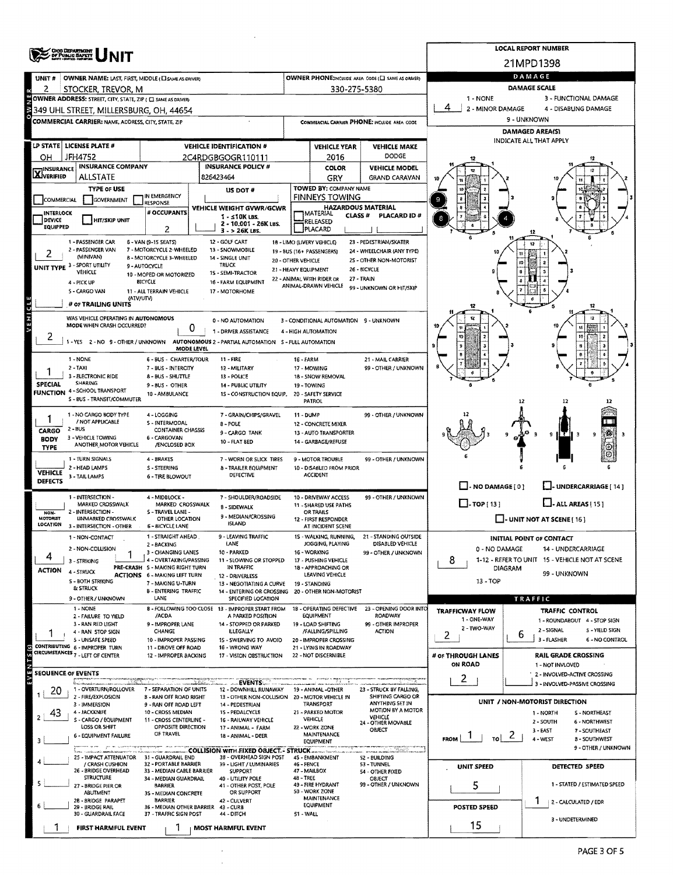|                                  | <b>ORO DEPARTMENT</b><br>OF PUBLIC BAPETY                                          |                                                           |                                                                               | <b>LOCAL REPORT NUMBER</b> |                                                   |                                                      |                                   |                      |                                                             |  |  |  |  |
|----------------------------------|------------------------------------------------------------------------------------|-----------------------------------------------------------|-------------------------------------------------------------------------------|----------------------------|---------------------------------------------------|------------------------------------------------------|-----------------------------------|----------------------|-------------------------------------------------------------|--|--|--|--|
|                                  |                                                                                    |                                                           |                                                                               |                            |                                                   |                                                      | 21MPD1398<br>DAMAGE               |                      |                                                             |  |  |  |  |
| UNIT#<br>2                       | <b>OWNER NAME: LAST, FIRST, MIDDLE (E) SAME AS ORIVERY</b>                         |                                                           |                                                                               |                            |                                                   | OWNER PHONE; INCLUDE AREA CODE (C) SAME AS ORNER)    | <b>DAMAGE SCALE</b>               |                      |                                                             |  |  |  |  |
|                                  | STOCKER, TREVOR, M<br>OWNER ADDRESS: STREET, CITY, STATE, ZIP ( C) SAME AS DRIVER) |                                                           |                                                                               |                            | 330-275-5380                                      |                                                      | 1 - NONE<br>3 - FUNCTIONAL DAMAGE |                      |                                                             |  |  |  |  |
|                                  | 349 UHL STREET, MILLERSBURG, OH, 44654                                             |                                                           |                                                                               |                            |                                                   |                                                      | 2 - MINOR DAMAGE                  | 4 - DISABLING DAMAGE |                                                             |  |  |  |  |
|                                  | <b>COMMERCIAL CARRIER: NAME, ADDRESS, CITY, STATE, ZIP</b>                         |                                                           |                                                                               |                            |                                                   | COMMERCIAL CARRIER PHONE: INCLUDE AREA CODE          | 9 - UNKNOWN                       |                      |                                                             |  |  |  |  |
|                                  |                                                                                    |                                                           |                                                                               |                            |                                                   |                                                      | <b>DAMAGED AREA(S)</b>            |                      |                                                             |  |  |  |  |
|                                  | LP STATE LICENSE PLATE #                                                           |                                                           | <b>VEHICLE IDENTIFICATION #</b>                                               |                            | <b>VEHICLE YEAR</b>                               | <b>VEHICLE MAKE</b>                                  |                                   |                      | INDICATE ALL THAT APPLY                                     |  |  |  |  |
| OН                               | JFH4752                                                                            |                                                           | 2C4RDGBGOGR110111                                                             |                            | 2016                                              | <b>DODGE</b>                                         |                                   |                      |                                                             |  |  |  |  |
| <b>INSURANCE</b><br>XVERIFIED    | <b>INSURANCE COMPANY</b>                                                           |                                                           | <b>INSURANCE POLICY #</b>                                                     |                            | COLOR                                             | <b>VEHICLE MODEL</b>                                 |                                   |                      |                                                             |  |  |  |  |
|                                  | ALLSTATE<br><b>TYPE OF USE</b>                                                     |                                                           | 826423464                                                                     |                            | GRY<br>TOWED BY: COMPANY NAME                     | <b>GRAND CARAVAN</b>                                 |                                   |                      |                                                             |  |  |  |  |
| <b>COMMERCIAL</b>                | GOVERNMENT                                                                         | IN EMERGENCY                                              | US DOT#                                                                       |                            | FINNEYS TOWING                                    |                                                      |                                   |                      |                                                             |  |  |  |  |
| INTERLOCK                        |                                                                                    | <b>RESPONSE</b><br># OCCUPANTS                            | VEHICLE WEIGHT GVWR/GCWR                                                      |                            |                                                   | <b>HAZARDOUS MATERIAL</b>                            |                                   |                      |                                                             |  |  |  |  |
| <b>DEVICE</b>                    | <b>HIT/SKIP UNIT</b>                                                               |                                                           | $1 - 510K$ LBS.<br>2 - 10.001 - 26K LBS.                                      |                            | MATERIAL<br>CLASS#<br>RELEASED                    | PLACARD ID#                                          |                                   |                      |                                                             |  |  |  |  |
| <b>EQUIPPED</b>                  |                                                                                    | 2                                                         | $3 - 26K$ LBS.                                                                |                            | PLACARD                                           |                                                      |                                   |                      |                                                             |  |  |  |  |
|                                  | 1 - PASSENGER CAR<br>2 - PASSENGER VAN                                             | 6 - VAN (9-15 SEATS)<br>7 - MOTORCYCLE 2-WHEELED          | 12 - GOUF CART<br>13 - SNOWMOBILE                                             |                            | 18 - LIMO (LIVERY VEHICLE)                        | 23 - PEDESTRIAN/SKATER<br>24 - WHEELCHAIR (ANY TYPE) |                                   | 12                   |                                                             |  |  |  |  |
|                                  | (MINIVAN)                                                                          | 8 - MOTORCYCLE 3-WHEELED                                  | 14 - SINGLE UNIT                                                              | 20 - OTHER VEHICLE         | 19 - BUS (16+ PASSENGERS)                         | 25 - OTHER NON-MOTORIST                              |                                   | 10                   |                                                             |  |  |  |  |
|                                  | UNIT TYPE 3 - SPORT UTILITY<br><b>VEHICLE</b>                                      | 9 - AUTOCYCLE<br>10 - MOPED OR MOTORIZED                  | <b>TRUCK</b><br>1S - SEMI-TRACTOR                                             |                            | 21 - HEAVY EQUIPMENT                              | 26 - BICYCLE                                         |                                   |                      |                                                             |  |  |  |  |
|                                  | 4 - PICK UP                                                                        | <b>BICYCLE</b>                                            | 16 - FARM EQUIPMENT                                                           |                            | 22 - ANIMAL WITH RIDER OR<br>ANIMAL-DRAWN VEHICLE | 27 - TRAIN<br>99 - UNKNOWN OR HIT/SKIP               |                                   |                      |                                                             |  |  |  |  |
|                                  | 5 - CARGO VAN<br>(ATV/UTV)                                                         | 11 - ALL TERRAIN VEHICLE                                  | 17 - MOTORHOME                                                                |                            |                                                   |                                                      |                                   |                      |                                                             |  |  |  |  |
| đ                                | # OF TRAILING UNITS                                                                |                                                           |                                                                               |                            |                                                   |                                                      |                                   |                      |                                                             |  |  |  |  |
| VEHI                             | WAS VEHICLE OPERATING IN AUTONOMOUS                                                |                                                           | 0 - NO AUTOMATION                                                             |                            | 3 - CONDITIONAL AUTOMATION 9 - UNKNOWN            |                                                      |                                   |                      | $\overline{1}$                                              |  |  |  |  |
|                                  | MODE WHEN CRASH OCCURRED?                                                          | 0                                                         | 1 - DRIVER ASSISTANCE                                                         |                            | 4 - HIGH AUTOMATION                               |                                                      |                                   |                      |                                                             |  |  |  |  |
| 2                                | 1-YES 2-NO 9-OTHER/UNKNOWN                                                         |                                                           | AUTONOMOUS 2 - PARTIAL AUTOMATION 5 - FULL AUTOMATION                         |                            |                                                   |                                                      |                                   |                      | 10                                                          |  |  |  |  |
|                                  | 1 - NONE                                                                           | MODE LEVEL<br>6 - BUS - CHARTER/TOUR                      | 11 - FIRE                                                                     | 16 - FARM                  |                                                   | 21 - MAIL CARRIER                                    |                                   |                      |                                                             |  |  |  |  |
|                                  | $2 - TAXI$                                                                         | 7 - BUS - INTERCITY                                       | 12 - MILITARY                                                                 |                            | 17 - MOWING                                       | 99 - OTHER / UNKNOWN                                 |                                   |                      |                                                             |  |  |  |  |
|                                  | 3 - ELECTRONIC RIDE<br>SHARING                                                     | 8 - BUS - SHUTTLE                                         | 13 - POLICE                                                                   |                            | 18 - SNOW REMOVAL                                 |                                                      |                                   |                      |                                                             |  |  |  |  |
| <b>SPECIAL</b>                   | <b>FUNCTION 4-SCHOOL TRANSPORT</b>                                                 | 9-BUS - OTHER<br>10 - AM8ULANCE                           | 14 - PUBLIC UTILITY<br>1S - CONSTRUCTION EQUIP,                               |                            | 19 - TOWING<br>20 - SAFETY SERVICE                |                                                      |                                   |                      |                                                             |  |  |  |  |
|                                  | S - BUS - TRANSIT/COMMUTER                                                         |                                                           |                                                                               |                            | PATROL                                            |                                                      |                                   | 12                   |                                                             |  |  |  |  |
|                                  | 1 - NO CARGO BODY TYPE                                                             | 4 - LOGGING                                               | 7 - GRAIN/CHIPS/GRAVEL                                                        | 11 - DUMP                  |                                                   | 99 - OTHER / UNKNOWN                                 |                                   |                      |                                                             |  |  |  |  |
| CARGO                            | / NOT APPLICABLE<br>2 - BUS                                                        | S - INTERMODAL<br><b>CONTAINER CHASSIS</b>                | 8 - POLE                                                                      |                            | 12 - CONCRETE MIXER                               |                                                      |                                   |                      |                                                             |  |  |  |  |
| <b>BODY</b>                      | 3 - VEHICLE TOWING                                                                 | 6 - CARGOVAN                                              | 9 - CARGO TANK<br><b>10 - FLAT BED</b>                                        |                            | 13 - AUTO TRANSPORTER<br>14 - GARBAGE/REFUSE      |                                                      |                                   |                      |                                                             |  |  |  |  |
| TYPE                             | ANOTHER MOTOR VEHICLE                                                              | /ENCLOSED BOX                                             |                                                                               |                            |                                                   |                                                      |                                   |                      |                                                             |  |  |  |  |
|                                  | 1 - TURN SIGNALS<br>2 - HEAD LAMPS                                                 | 4 - 8RAKES<br>S - STEERING                                | 7 - WORN OR SLICK TIRES<br>8 - TRAILER EQUIPMENT                              |                            | 9 - MOTOR TROUBLE<br>10 - DISABLED FROM PRIOR     | 99 - OTHER / UNKNOWN                                 |                                   |                      |                                                             |  |  |  |  |
| <b>VEHICLE</b><br><b>DEFECTS</b> | 3 - TAIL LAMPS                                                                     | 6 - TIRE BLOWOUT                                          | DEFECTIVE                                                                     |                            | <b>ACCIDENT</b>                                   |                                                      |                                   |                      |                                                             |  |  |  |  |
|                                  |                                                                                    |                                                           |                                                                               |                            |                                                   |                                                      | $\Box$ - NO DAMAGE [ 0 ]          |                      | _]- UNDERCARRIAGE [ 14 ]                                    |  |  |  |  |
|                                  | 1 - INTERSECTION -<br>MARKED CROSSWALK                                             | 4 - MIDBLOCK -<br>MARKED CROSSWALK                        | 7 - SHOULDER/ROADSIDE                                                         |                            | 10 - DRIVEWAY ACCESS<br>11 - SHARED USE PATHS     | 99 - OTHER / UNKNOWN                                 | $\Box$ - TOP [ 13 ]               |                      | $L$ . ALL AREAS [ 15 ]                                      |  |  |  |  |
| NON-<br><b>MOTORIST</b>          | 2 - INTERSECTION -<br><b>UNMARKED CROSSWALK</b>                                    | 5 - TRAVEL LANE -                                         | 8 - SIDEWALK<br>9 - MEDIAN/CROSSING                                           |                            | OR TRAILS                                         |                                                      |                                   |                      |                                                             |  |  |  |  |
| LOCATION                         | 3 - INTERSECTION - OTHER                                                           | OTHER LOCATION<br><b>6 - BICYCLE LANE</b>                 | <b>ISLAND</b>                                                                 |                            | 12 - FIRST RESPONDER<br>AT INCIDENT SCENE         |                                                      |                                   |                      | $\Box$ - UNIT NOT AT SCENE [ 16 ]                           |  |  |  |  |
|                                  | 1 - NON-CONTACT                                                                    | 1 STRAIGHT AHEAD                                          | 9 - LEAVING TRAFFIC                                                           |                            | 15 - WALKING, RUNNING,                            | 21 - STANDING OUTSIDE                                |                                   |                      | <b>INITIAL POINT OF CONTACT</b>                             |  |  |  |  |
|                                  | 2 - NON-COLLISION                                                                  | 2 - BACKING<br>3 - CHANGING LANES                         | LANE<br>10 - PARKED                                                           |                            | JOGGING, PLAYING<br>16 - WORKING                  | DISABLED VEHICLE<br>99 - OTHER / UNKNOWN             | 0 - NO DAMAGE                     |                      | 14 - UNDERCARRIAGE                                          |  |  |  |  |
| 4                                | 3 - STRIKING                                                                       | 4 - OVERTAKING/PASSING<br>PRE-CRASH S - MAKING RIGHT TURN | 11 - SLOWING OR STOPPED<br>IN TRAFFIC                                         |                            | 17 - PUSHING VEHICLE<br>18 - APPROACHING OR       |                                                      | 8                                 |                      | 1-12 - REFER TO UNIT 15 - VEHICLE NOT AT SCENE              |  |  |  |  |
| ACTION                           | 4 - STRUCK                                                                         | <b>ACTIONS 6 - MAKING LEFT TURN</b>                       | 12 - DRIVERLESS                                                               |                            | LEAVING VEHICLE                                   |                                                      |                                   | <b>DIAGRAM</b>       | 99 - UNKNOWN                                                |  |  |  |  |
|                                  | S - BOTH STRIKING<br>& STRUCK                                                      | 7 - MAKING U-TURN<br><b>B - ENTERING TRAFFIC</b>          | 13 - NEGOTIATING A CURVE<br>14 - ENTERING OR CROSSING 20 - OTHER NON-MOTORIST |                            | 19 - STANDING                                     |                                                      | 13 - TOP                          |                      |                                                             |  |  |  |  |
|                                  | 9 - OTHER / UNKNOWN                                                                | LANE                                                      | SPECIFIED LOCATION                                                            |                            |                                                   |                                                      |                                   | <b>TRAFFIC</b>       |                                                             |  |  |  |  |
|                                  | 1 - NONE<br>2 - FAILURE TO YIELD                                                   | /ACDA                                                     | 8 - FOLLOWING TOO CLOSE 13 - IMPROPER START FROM<br>A PARKED POSITION         |                            | 18 - OPERATING DEFECTIVE<br>EQUIPMENT             | 23 - OPENING DOOR INTO<br><b>ROADWAY</b>             | <b>TRAFFICWAY FLOW</b>            |                      | <b>TRAFFIC CONTROL</b>                                      |  |  |  |  |
|                                  | 3 - RAN RED LIGHT                                                                  | 9 - IMPROPER LANE                                         | 14 - STOPPED OR PARKED                                                        |                            | 19 - LOAD SHIFTING                                | 99 - OTHER IMPROPER                                  | 1 - ONE-WAY<br>2 - TWO-WAY        |                      | 1 - ROUNDABOUT 4 - STOP SIGN                                |  |  |  |  |
|                                  | 4 - RAN STOP SIGN<br>5 - UNSAFE SPEED                                              | CHANGE<br>10 - IMPROPER PASSING                           | <b>ILLEGALLY</b><br>15 - SWERVING TO AVOID                                    |                            | /FALLING/SPILLING<br>20 - IMPROPER CROSSING       | <b>ACTION</b>                                        | 2                                 | 6                    | 2 - SIGNAL<br>5 - YIELD SIGN<br>3 FLASHER<br>6 - NO CONTROL |  |  |  |  |
|                                  | CONTRIBUTING 6 - IMPROPER TURN                                                     | 11 - DROVE OFF ROAD                                       | 16 - WRONG WAY                                                                |                            | 21 - LYING IN ROADWAY                             |                                                      |                                   |                      |                                                             |  |  |  |  |
|                                  | CIRCUMSTANCES 7 - LEFT OF CENTER                                                   | 12 - IMPROPER BACKING                                     | 17 - VISION OBSTRUCTION                                                       |                            | 22 - NOT DISCERNIBLE                              |                                                      | # OF THROUGH LANES<br>ON ROAD     |                      | <b>RAIL GRADE CROSSING</b><br>1 - NOT INVLOVED              |  |  |  |  |
| <b>SEQUENCE OF EVENTS</b>        |                                                                                    |                                                           |                                                                               |                            |                                                   |                                                      |                                   |                      | 2 - INVOLVED-ACTIVE CROSSING                                |  |  |  |  |
|                                  | 1 - OVERTURN/ROLLOVER                                                              | 7 - SEPARATION OF UNITS                                   | <b>LEVENTS.</b><br>12 - DOWNHILL RUNAWAY                                      |                            | 19 - ANIMAL -OTHER                                | 23 - STRUCK BY FALLING,                              | 2                                 |                      | 3 - INVOLVED-PASSIVE CROSSING                               |  |  |  |  |
| 20                               | 2 - FIRE/EXPLOSION                                                                 | 8 - RAN OFF ROAD RIGHT                                    | 13 - OTHER NON-COLLISION 20 - MOTOR VEHICLE IN                                |                            |                                                   | SHIFTING CARGO OR                                    |                                   |                      | UNIT / NON-MOTORIST DIRECTION                               |  |  |  |  |
| 43                               | 3 - IMMERSION<br>4 - JACKKNIFE                                                     | 9 - RAN OFF ROAD LEFT<br>10 - CROSS MEDIAN                | 14 - PEDESTRIAN<br>15 - PEDALCYCLE                                            |                            | TRANSPORT<br>21 - PARKED MOTOR                    | ANYTHING SET IN<br>MOTION BY A MOTOR                 |                                   |                      | 1 - NORTH<br>S - NORTHEAST                                  |  |  |  |  |
|                                  | S - CARGO / EQUIPMENT                                                              | 11 - CROSS CENTERLINE -                                   | 16 - RAILWAY VEHICLE                                                          |                            | VEHICLE                                           | <b>VEHICLE</b><br>24 - OTHER MOVABLE                 |                                   |                      | 2 - SOUTH<br>6 - NORTHWEST                                  |  |  |  |  |
|                                  | LOSS OR SHIFT<br><b>6 - EQUIPMENT FAILURE</b>                                      | OPPOSITE DIRECTION<br>OF TRAVEL                           | 17 - ANIMAL - FARM<br>18 - ANIMAL - DEER                                      |                            | 22 - WORK ZONE<br>MAINTENANCE                     | OBJECT                                               |                                   | $\frac{1}{10}$ 2     | 3 - EAST<br>7 - SOUTHEAST                                   |  |  |  |  |
|                                  | - pro to successfully speed speedparts of the term                                 |                                                           | COLLISION WITH FIXED OBJECT - STRUCK.                                         |                            | EQUIPMENT                                         | <u>manggota</u> n an                                 | <b>FROM</b>                       |                      | 4 - WEST<br>8 - SOUTHWEST<br>9 - OTHER / UNKNOWN            |  |  |  |  |
|                                  | 25 - IMPACT ATTENUATOR 31 - GUARDRAIL END                                          |                                                           | 38 - OVERHEAD SIGN POST                                                       |                            | 4S - EMBANKMENT                                   | on america accelera<br>52 - BUILDING                 |                                   |                      |                                                             |  |  |  |  |
|                                  | / CRASH CUSHION<br>26 - BRIDGE OVERHEAD                                            | 32 - PORTABLE BARRIER<br>33 - MEDIAN CABLE BARRIER        | 39 - LIGHT / LUMINARIES<br><b>SUPPORT</b>                                     | 46 - FENCE                 | 47 - MAILBOX                                      | 53 - TUNNEL<br>54 - OTHER FIXED                      | UNIT SPEED                        |                      | DETECTED SPEED                                              |  |  |  |  |
|                                  | <b>STRUCTURE</b><br>- BRIDGE PIER OR                                               | 34 - MEDIAN GUARDRAIL<br>BARRIER                          | 40 - UTILITY POLE<br>41 - OTHER POST, POLE                                    | 48 - TREE                  | 49 - FIRE HYDRANT                                 | <b>OBJECT</b><br>99 - OTHER / UNKNOWN                | 5                                 |                      | 1 - STATED / ESTIMATED SPEED                                |  |  |  |  |
|                                  | ABUTMENT                                                                           | 3S - MEDIAN CONCRETE                                      | OR SUPPORT                                                                    |                            | 50 - WORK ZONE<br><b>MAINTENANCE</b>              |                                                      |                                   |                      |                                                             |  |  |  |  |
|                                  | 28 - 8RIDGE PARAPET<br>29 - BRIDGE RAIL                                            | <b>BARRIER</b><br>36 - MEDIAN OTHER BARRIER               | 42 - CULVERT<br>43 - CURB                                                     |                            | EQUIPMENT                                         |                                                      | POSTED SPEED                      |                      | 1<br>2 - CALCULATED / EDR                                   |  |  |  |  |
|                                  | 30 - GUARDRAIL FACE                                                                | 37 - TRAFFIC SIGN POST                                    | 44 - DITCH                                                                    | 51 - WALL                  |                                                   |                                                      |                                   |                      | 3 - UNDETERMINED                                            |  |  |  |  |
|                                  | <b>FIRST HARMFUL EVENT</b>                                                         | 1                                                         | <b>MOST HARMFUL EVENT</b>                                                     |                            |                                                   |                                                      | 15                                |                      |                                                             |  |  |  |  |

 $\frac{1}{2}$ 

 $\sim 10^{11}$  km  $^{-1}$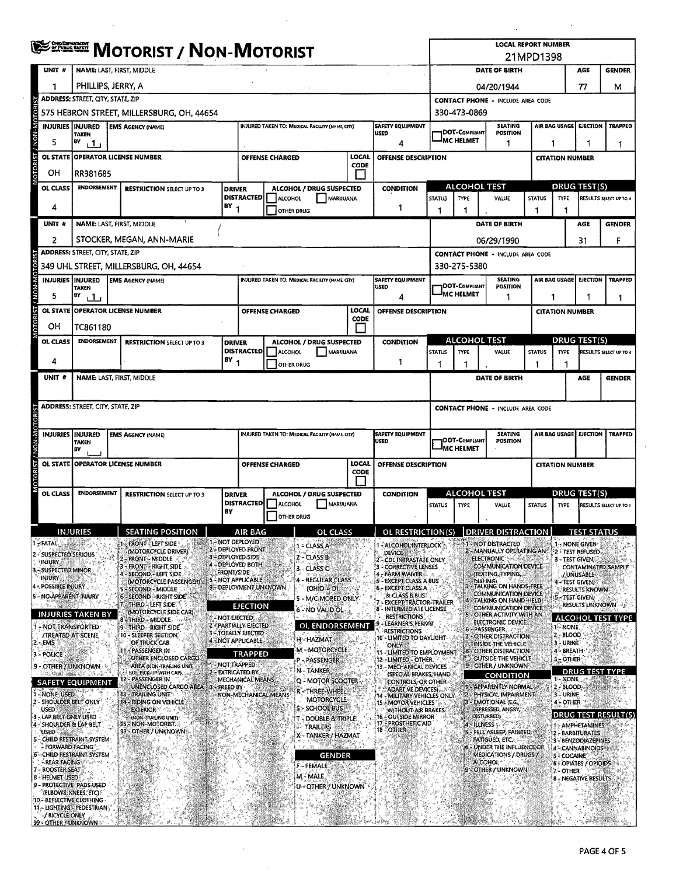|                                                        | <b>SERIE MOTORIST / NON-MOTORIST</b>                      |                                                                          |                                                      |               |                                                                |                        |                                                 |               | <b>LOCAL REPORT NUMBER</b><br>21MPD1398                                         |                                          |                                       |                                                                    |                                                    |                        |                                         |                        |  |
|--------------------------------------------------------|-----------------------------------------------------------|--------------------------------------------------------------------------|------------------------------------------------------|---------------|----------------------------------------------------------------|------------------------|-------------------------------------------------|---------------|---------------------------------------------------------------------------------|------------------------------------------|---------------------------------------|--------------------------------------------------------------------|----------------------------------------------------|------------------------|-----------------------------------------|------------------------|--|
| UNIT #                                                 | NAME: LAST, FIRST, MIDDLE                                 |                                                                          |                                                      |               |                                                                |                        |                                                 |               |                                                                                 |                                          | DATE OF BIRTH<br>AGE<br><b>GENDER</b> |                                                                    |                                                    |                        |                                         |                        |  |
| 1                                                      | PHILLIPS, JERRY, A                                        |                                                                          |                                                      |               |                                                                |                        |                                                 |               |                                                                                 | 77<br>04/20/1944                         |                                       |                                                                    |                                                    |                        | M                                       |                        |  |
|                                                        |                                                           | <b>ADDRESS: STREET, CITY, STATE, ZIP</b>                                 |                                                      |               |                                                                |                        |                                                 |               |                                                                                 |                                          |                                       | <b>CONTACT PHONE - INCLUDE AREA CODE</b>                           |                                                    |                        |                                         |                        |  |
| oro                                                    | 575 HEBRON STREET, MILLERSBURG, OH, 44654<br>330-473-0869 |                                                                          |                                                      |               |                                                                |                        |                                                 |               |                                                                                 |                                          |                                       |                                                                    |                                                    |                        |                                         |                        |  |
|                                                        | <b>INJURIES   INJURED</b><br><b>TAKEN</b>                 |                                                                          | <b>EMS AGENCY (NAME)</b>                             |               |                                                                |                        | INJURED TAKEN TO: MEDICAL FACILITY (NAME, CITY) |               | <b>SAFETY EQUIPMENT</b><br><b>USED</b>                                          |                                          | <b>DOT-COMPLIANT</b>                  | <b>SEATING</b><br><b>POSITION</b>                                  |                                                    | AIR BAG USAGE          | <b>EJECTION</b>                         | <b>TRAPPED</b>         |  |
| VON<br>5                                               | BY<br>⊥1 ⊥                                                |                                                                          |                                                      |               |                                                                |                        |                                                 |               | 4                                                                               |                                          | <sup>I</sup> MC HELMET                | 1                                                                  |                                                    | 1<br>1                 |                                         |                        |  |
|                                                        |                                                           |                                                                          | OL STATE OPERATOR LICENSE NUMBER                     |               |                                                                | <b>OFFENSE CHARGED</b> |                                                 | LOCAL<br>CODE | OFFENSE DESCRIPTION                                                             |                                          |                                       |                                                                    |                                                    | <b>CITATION NUMBER</b> |                                         |                        |  |
| OН                                                     | RR381685                                                  |                                                                          |                                                      |               |                                                                |                        |                                                 |               |                                                                                 |                                          |                                       |                                                                    |                                                    |                        |                                         |                        |  |
| OL CLASS                                               |                                                           | <b>ENDORSEMENT</b><br><b>RESTRICTION SELECT UP TO 3</b><br><b>DRIVER</b> |                                                      |               |                                                                |                        | ALCOHOL / DRUG SUSPECTED                        |               | <b>CONDITION</b>                                                                |                                          |                                       | <b>ALCOHOL TEST</b>                                                | <b>DRUG TEST(S)</b>                                |                        |                                         |                        |  |
| 4                                                      |                                                           |                                                                          |                                                      | $BY_1$        | <b>DISTRACTED</b>                                              | ALCOHOL                | MARUUANA<br>OTHER DRUG                          |               | 1                                                                               | <b>STATUS</b><br>1                       | TYPE<br>1                             | VALUE                                                              | <b>STATUS</b><br>$\mathbf{1}$                      | <b>TYPE</b><br>1       |                                         | RESULTS SELECT UP TO 4 |  |
| UNIT #                                                 |                                                           |                                                                          | NAME: LAST, FIRST, MIDDLE                            |               |                                                                |                        |                                                 |               |                                                                                 |                                          |                                       | DATE OF BIRTH                                                      |                                                    |                        | AGE                                     | <b>GENDER</b>          |  |
| 2                                                      |                                                           |                                                                          | STOCKER, MEGAN, ANN-MARIE                            |               |                                                                |                        |                                                 |               |                                                                                 |                                          |                                       | 06/29/1990                                                         |                                                    |                        | 31                                      | F                      |  |
|                                                        | <b>ADDRESS: STREET, CITY, STATE, ZIP</b>                  |                                                                          |                                                      |               |                                                                |                        |                                                 |               |                                                                                 |                                          |                                       | <b>CONTACT PHONE - INCLUDE AREA CODE</b>                           |                                                    |                        |                                         |                        |  |
| <b>DTORIS</b>                                          |                                                           |                                                                          | 349 UHL STREET, MILLERSBURG, OH, 44654               |               |                                                                |                        |                                                 |               |                                                                                 |                                          | 330-275-5380                          |                                                                    |                                                    |                        |                                         |                        |  |
|                                                        | INJURIES INJURED<br><b>TAKEN</b>                          |                                                                          | <b>EMS AGENCY (NAME)</b>                             |               |                                                                |                        | INJURED TAKEN TO: MEDICAL FACILITY (NAME, CITY) |               | SAFETY EQUIPMENT<br>USED                                                        |                                          | DOT-COMPLIANT                         | <b>SEATING</b><br>POSITION                                         | AIR BAG USAGE<br><b>EJECTION</b><br><b>TRAPPED</b> |                        |                                         |                        |  |
| 5                                                      | 67<br>$\mathbf{1}$                                        |                                                                          |                                                      |               |                                                                |                        |                                                 |               | 4                                                                               |                                          | IMC HELMET                            | 1                                                                  | 1<br>1                                             |                        |                                         |                        |  |
|                                                        |                                                           |                                                                          | OL STATE OPERATOR LICENSE NUMBER                     |               |                                                                | <b>OFFENSE CHARGED</b> |                                                 | LOCAL         | <b>OFFENSE DESCRIPTION</b>                                                      |                                          |                                       |                                                                    |                                                    | <b>CITATION NUMBER</b> |                                         |                        |  |
| OН                                                     | TC861180                                                  |                                                                          |                                                      |               |                                                                |                        |                                                 | CODE          |                                                                                 |                                          |                                       |                                                                    |                                                    |                        |                                         |                        |  |
| OL CLASS                                               | <b>ENDORSEMENT</b>                                        |                                                                          | <b>RESTRICTION SELECT UP TO 3</b>                    | <b>DRIVER</b> |                                                                |                        | ALCOHOL / DRUG SUSPECTED                        |               | <b>CONDITION</b>                                                                |                                          |                                       | <b>ALCOHOL TEST</b>                                                |                                                    |                        | DRUG TEST(S)                            |                        |  |
| 4                                                      |                                                           |                                                                          |                                                      | $BY_1$        | <b>DISTRACTED</b>                                              | ALCOHOL                | MARUUANA                                        |               | 1                                                                               | <b>STATUS</b>                            | <b>TYPE</b>                           | VALUE                                                              | <b>STATUS</b>                                      | <b>TYPE</b>            |                                         | RESULTS SELECT UP TO 4 |  |
| UNIT #                                                 |                                                           |                                                                          | NAME: LAST, FIRST, MIDDLE                            |               |                                                                |                        | <b>OTHER DRUG</b>                               |               |                                                                                 | 1                                        | 1                                     | DATE OF BIRTH                                                      | 1                                                  | 1                      | <b>AGE</b>                              | <b>GENDER</b>          |  |
|                                                        |                                                           |                                                                          |                                                      |               |                                                                |                        |                                                 |               |                                                                                 |                                          |                                       |                                                                    |                                                    |                        |                                         |                        |  |
|                                                        | <b>ADDRESS: STREET, CITY, STATE, ZIP</b>                  |                                                                          |                                                      |               |                                                                |                        |                                                 |               |                                                                                 | <b>CONTACT PHONE - INCLUDE AREA CODE</b> |                                       |                                                                    |                                                    |                        |                                         |                        |  |
|                                                        |                                                           |                                                                          |                                                      |               |                                                                |                        |                                                 |               |                                                                                 |                                          |                                       |                                                                    |                                                    |                        |                                         |                        |  |
|                                                        | <b>INJURIES INJURED</b>                                   |                                                                          | <b>EMS AGENCY (NAME)</b>                             |               |                                                                |                        | INJURED TAKEN TO: MEDICAL FACILITY (NAME, CITY) |               | SATETY EQUIPMENT<br><b>USED</b>                                                 |                                          | <b>DOT-COMPLIANT</b>                  | <b>SEATING</b><br>POSITION                                         |                                                    | AIR BAG USAGE          | <b>EJECTION</b>                         | <b>TRAPPED</b>         |  |
|                                                        | <b>TAKEN</b><br>BY<br>$\sim$ 1                            |                                                                          |                                                      |               |                                                                |                        |                                                 |               |                                                                                 |                                          | IMC HELMET                            |                                                                    |                                                    |                        |                                         |                        |  |
|                                                        |                                                           |                                                                          | OL STATE OPERATOR LICENSE NUMBER                     |               | LOCAL<br>OFFENSE DESCRIPTION<br><b>OFFENSE CHARGED</b><br>CODE |                        |                                                 |               |                                                                                 |                                          |                                       |                                                                    | <b>CITATION NUMBER</b>                             |                        |                                         |                        |  |
|                                                        |                                                           |                                                                          |                                                      |               |                                                                |                        |                                                 |               |                                                                                 |                                          |                                       |                                                                    |                                                    |                        |                                         |                        |  |
| OL CLASS                                               | <b>ENDORSEMENT</b>                                        |                                                                          | <b>RESTRICTION SELECT UP TO 3</b>                    | <b>DRIVER</b> | <b>DISTRACTED</b>                                              | ALCOHOL                | ALCOHOL / DRUG SUSPECTED<br>MARIJUANA           |               | <b>CONDITION</b>                                                                | <b>STATUS</b>                            | <b>TYPE</b>                           | <b>ALCOHOL TEST</b><br><b>VALUE</b>                                | <b>STATUS</b>                                      | <b>TYPE</b>            | DRUG TEST(S)                            | RESULTS SELECT UP TO 4 |  |
|                                                        |                                                           |                                                                          |                                                      | BY            |                                                                |                        | <b>OTHER DRUG</b>                               |               |                                                                                 |                                          |                                       |                                                                    |                                                    |                        |                                         |                        |  |
|                                                        | INJURIES                                                  |                                                                          | <b>SEATING POSITION</b>                              |               | <b>AIR BAG</b>                                                 |                        | OL CLASS                                        |               | OL RESTRICTION(S)                                                               |                                          |                                       | <b>DRIVER DISTRA</b>                                               |                                                    |                        |                                         |                        |  |
| <b>SFATAL</b>                                          |                                                           |                                                                          | <b>FRONT - LEFT SIDE</b><br>(MOTORCYCLE DRIVER)      |               | <b>1 - NOT DEPLOYED</b><br>2 - DEPLOYED FRONT                  |                        | 1 - CLASS A                                     |               | ALCOHOL INTERLOCK                                                               |                                          |                                       | 1 - NOT DISTRACTED<br>2 - MANUALLY OPERATING AN                    |                                                    |                        | 1 - NONE GIVEN<br>2 - TEST REFUSED      |                        |  |
| 2 - SUSPECTED SERIOUS<br><b>INJURY</b>                 |                                                           |                                                                          | - FRONT - MIDDLE<br>3 - FRONT - RIGHT SIDE           |               | 3 - DEPLOYED SIDE<br>4-DEPLOYED BOTH                           |                        | 2 - CLASS B                                     |               | <b>DEVICE</b><br>CDL INTRASTATE ONLY<br><b>CORRECTIVE LENSES</b>                |                                          |                                       | <b>ELECTRONIC</b><br>COMMUNICATION DEVICE                          |                                                    |                        | 3 - TEST GIVENS                         | CONTAMINATED SAMPLE    |  |
| 3. SUSPECTED MINOR<br><b>INJURY</b>                    |                                                           |                                                                          | 4 - SECOND - LEFT SIDE<br>(MOTORCYCLE PASSENGER)     | FRONT/SIDE    | 5 - NOT APPLICABLE                                             |                        | 3 - CLASS C<br>- REGULAR CLASS                  |               | <b>FARM WAIVER</b><br>- EXCEPT CLASS A BUS                                      |                                          |                                       | (TEXTING, TYPING,<br><b>MAI INGI</b>                               |                                                    |                        | <b>/ UNUSABLE</b><br>4 - TEST GIVEN.    |                        |  |
| 4 - POSSIBLE INJURY<br>5'- NO APPARENT INJURY          |                                                           |                                                                          | SECOND - MIDDLE<br>- SECOND - RIGHT SIDE"            |               | 9 - DEPLOYMENT UNKNOWN                                         |                        | $(OHIO = D)$                                    |               | 6 - EXCEPT CLASS A<br>& CLASS B BUS:                                            |                                          |                                       | - TALKING ON HANDS-FREE<br>COMMUNICATION DEVICE                    |                                                    | 5 - TEST GIVEN,        | <b>RESULTS KNOWN</b>                    |                        |  |
|                                                        |                                                           |                                                                          | THIRD-LEFT SIDE<br>(MOTORCYCLE SIDE CAR)             |               | EJECTION                                                       |                        | - M/C MOPED ONLY.<br>6 - NO VALID OL            |               | EXCEPT TRACTOR-TRAILER<br>8 - INTERMEDIATE LICENSE                              |                                          |                                       | 4 - TALKING ON HAND-HELD<br>COMMUNICATION DEVICE                   |                                                    |                        |                                         | <b>RESULTS UNKNOWN</b> |  |
|                                                        | INJURIES TAKEN BY<br>- NOT TRANSPORTED                    |                                                                          | 8-THIRD - MIDDLE<br>9 - THIRD - RIGHT SIDE           |               | 1 NOTEJECTED.<br>2 - PARTIALLY EJECTED                         |                        | OL ENDORSEMENT                                  |               | <b>RESTRICTIONS</b><br>LEARNER'S PERMIT                                         |                                          |                                       | 5 - OTHER ACTIVITY WITH AN<br>ELECTRONIC DEVICE                    |                                                    | <b>1-NONE</b>          |                                         | ALCOHOL TEST TYPE      |  |
| 2. EMS                                                 | <b><i>ITREATED AT SCENE</i></b>                           |                                                                          | 10 - SLEEPER SECTION<br>OF TRUCK CAB                 |               | <b>3 - TOTALLY EJECTED</b><br>4 - NOT APPLICABLE               |                        | H - HAZMAT                                      |               | <b>RESTRICTIONS</b><br>10 - LIMITED TO DAYLIGHT                                 |                                          |                                       | 6 – PASSENGER<br>- OTHER DISTRACTION                               |                                                    | 2 - BLOOD<br>3 - URINE |                                         |                        |  |
| 3 - POLICE                                             |                                                           |                                                                          | PASSENGER IN<br>OTHER ENCLOSED CARGO                 |               | <b>TRAPPED</b>                                                 |                        | M - MOTORCYCLE                                  |               | <b>ONLY</b><br>11 - LIMITED TO EMPLOYMENT                                       |                                          |                                       | INSIDE THE VEHICLE<br>8 - OTHER DISTRACTION<br>OUTSIDE THE VEHICLE |                                                    | 4 - BREATH             |                                         |                        |  |
| 9 - OTHER / UNKNOWN                                    |                                                           |                                                                          | AREA (NON-TRAILING UNIT.)<br>BUS, PICK-UP WITH CAP). |               | 1 - NOT TRAPPED-<br><b>EXTRICATED:BY</b>                       |                        | P - PASSENGER<br>N TANKER                       |               | 12 - LIMITED - OTHER.<br>13 - MECHANICAL DEVICES                                |                                          |                                       | 9 - OTHER / UNKNOWN                                                |                                                    | <b>5. OTHER</b>        | <b>DRUG TEST TYPE</b>                   |                        |  |
|                                                        | <b>SAFETY EQUIPMENT</b>                                   |                                                                          | - PASSENGER IN<br>UNENCLOSED CARGO AREA              | FREED BY      | MECHANICAL MEANS                                               |                        | Q - MOTOR SCOOTER                               |               | (SPECIAL BRAKES, HAND.)<br>CONTROLS, OR OTHER                                   |                                          |                                       | <b>CONDITION</b><br>- APPARENTLY NORMAL                            |                                                    | 1-NONE<br>2 - BLOOD    |                                         |                        |  |
| 1 - NONE USED<br>2 - SHOULDER BELT ONLY                |                                                           |                                                                          | 13 - TRAILING UNIT<br>14 - RIDING ON VEHICLE         |               | NON-MECHANICAL MEANS                                           |                        | R - THREE-WHEEL<br>MOTORCYCLE                   |               | ADARTIVE DEVICES)<br>14 - MILITARY VEHICLES ONLY.<br><b>15 - MOTOR VEHICLES</b> |                                          |                                       | - PHYSICAL IMPAIRMENT<br>EMOTIONAL (E.G.)                          |                                                    | 3 - URINE<br>4 OTHER   |                                         |                        |  |
| <b>USED</b><br>3 - LAP BELT ONIX USED                  |                                                           |                                                                          | <b>EXTERIOR</b><br>(NON-TRAILING UNIT)               |               |                                                                |                        | S - SCHOOL BUS<br><b>T-DOUBLE &amp; TRIPLE</b>  |               | WITHOUT AIR BRAKES<br><b>16 - OUTSIDE MIRROR</b>                                |                                          |                                       | DEPRESSED, ANGRY,<br>DISTURBED)                                    |                                                    | DRUG TEST RESULT(S)    |                                         |                        |  |
| 4 - SHOULDER & LAP BELT<br><b>USED</b>                 |                                                           |                                                                          | 15 - NON-MOTORIST.<br>99 - OTHER / UNKNOWN           |               |                                                                |                        | TRAILERS                                        |               | 17 - PROSTHETIC AID<br>18 - OTHER                                               |                                          |                                       | - ILLNESS &<br>S - FELL ASLEEP, FAINTED #                          |                                                    |                        | - AMPHETAMINES<br>2 - BARBITURATES      |                        |  |
| 5 - CHILD RESTRAINT, SYSTEM                            | - FORWARD FACING                                          |                                                                          |                                                      |               |                                                                |                        | X - TANKER / HAZMAT                             |               |                                                                                 |                                          |                                       | FATIGUED, ETC.:<br>6 - UNDER THE INFLUENCE OF                      |                                                    |                        | 3 - BENZODIAZEPINES<br>4 - CANNABINOIDS |                        |  |
| 6 - CHILD RESTRAINT SYSTEM<br><b>EREAR FACING</b>      |                                                           |                                                                          |                                                      |               |                                                                |                        | GENDER                                          |               |                                                                                 |                                          |                                       | MEDICATIONS / DRUGS /<br>ALCOHOL <sup>®</sup>                      |                                                    | 5 - COCAINE            | 6 - OPIATES / OPIOIDS                   |                        |  |
| <b>BOOSTER SEAT</b><br>8 - HELMET USED                 |                                                           |                                                                          |                                                      |               |                                                                |                        | F-FEMALE<br>M - MALE                            |               |                                                                                 |                                          |                                       | - OTHER / UNKNOWN                                                  |                                                    | 7 - OTHER              | <b>8 - NEGATIVE RESULTS</b>             |                        |  |
| 9 - PROTECTIVE PADS USED                               | (ELBOWS, KNEES, ETC).                                     |                                                                          |                                                      |               |                                                                |                        | U - OTHER / UNKNOWN                             |               |                                                                                 |                                          |                                       |                                                                    |                                                    |                        |                                         |                        |  |
| 10 - REFLECTIVE CLOTHING<br>11 - LIGHTING - PEDESTRIAN |                                                           |                                                                          |                                                      |               |                                                                |                        |                                                 |               |                                                                                 |                                          |                                       |                                                                    |                                                    |                        |                                         |                        |  |
| / BICYCLE ONLY<br>99 - OTHER / UNKNOWN >               |                                                           |                                                                          |                                                      |               |                                                                |                        |                                                 |               |                                                                                 |                                          |                                       |                                                                    |                                                    |                        |                                         |                        |  |

 $\sim 10$ 

 $\bar{\beta}$ 

 $\overline{\phantom{a}}$